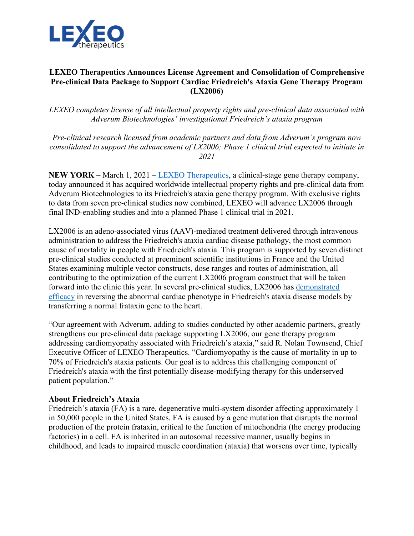

## **LEXEO Therapeutics Announces License Agreement and Consolidation of Comprehensive Pre-clinical Data Package to Support Cardiac Friedreich's Ataxia Gene Therapy Program (LX2006)**

*LEXEO completes license of all intellectual property rights and pre-clinical data associated with Adverum Biotechnologies' investigational Friedreich's ataxia program*

*Pre-clinical research licensed from academic partners and data from Adverum's program now consolidated to support the advancement of LX2006; Phase 1 clinical trial expected to initiate in 2021*

**NEW YORK –** March 1, 2021 – [LEXEO Therapeutics,](https://www.lexeotx.com/) a clinical-stage gene therapy company, today announced it has acquired worldwide intellectual property rights and pre-clinical data from Adverum Biotechnologies to its Friedreich's ataxia gene therapy program. With exclusive rights to data from seven pre-clinical studies now combined, LEXEO will advance LX2006 through final IND-enabling studies and into a planned Phase 1 clinical trial in 2021.

LX2006 is an adeno-associated virus (AAV)-mediated treatment delivered through intravenous administration to address the Friedreich's ataxia cardiac disease pathology, the most common cause of mortality in people with Friedreich's ataxia. This program is supported by seven distinct pre-clinical studies conducted at preeminent scientific institutions in France and the United States examining multiple vector constructs, dose ranges and routes of administration, all contributing to the optimization of the current LX2006 program construct that will be taken forward into the clinic this year. In several pre-clinical studies, LX2006 has [demonstrated](https://www.liebertpub.com/doi/10.1089/hum.2019.363)  [efficacy](https://www.liebertpub.com/doi/10.1089/hum.2019.363) in reversing the abnormal cardiac phenotype in Friedreich's ataxia disease models by transferring a normal frataxin gene to the heart.

"Our agreement with Adverum, adding to studies conducted by other academic partners, greatly strengthens our pre-clinical data package supporting LX2006, our gene therapy program addressing cardiomyopathy associated with Friedreich's ataxia," said R. Nolan Townsend, Chief Executive Officer of LEXEO Therapeutics. "Cardiomyopathy is the cause of mortality in up to 70% of Friedreich's ataxia patients. Our goal is to address this challenging component of Friedreich's ataxia with the first potentially disease-modifying therapy for this underserved patient population."

## **About Friedreich's Ataxia**

Friedreich's ataxia (FA) is a rare, degenerative multi-system disorder affecting approximately 1 in 50,000 people in the United States. FA is caused by a gene mutation that disrupts the normal production of the protein frataxin, critical to the function of mitochondria (the energy producing factories) in a cell. FA is inherited in an autosomal recessive manner, usually begins in childhood, and leads to impaired muscle coordination (ataxia) that worsens over time, typically